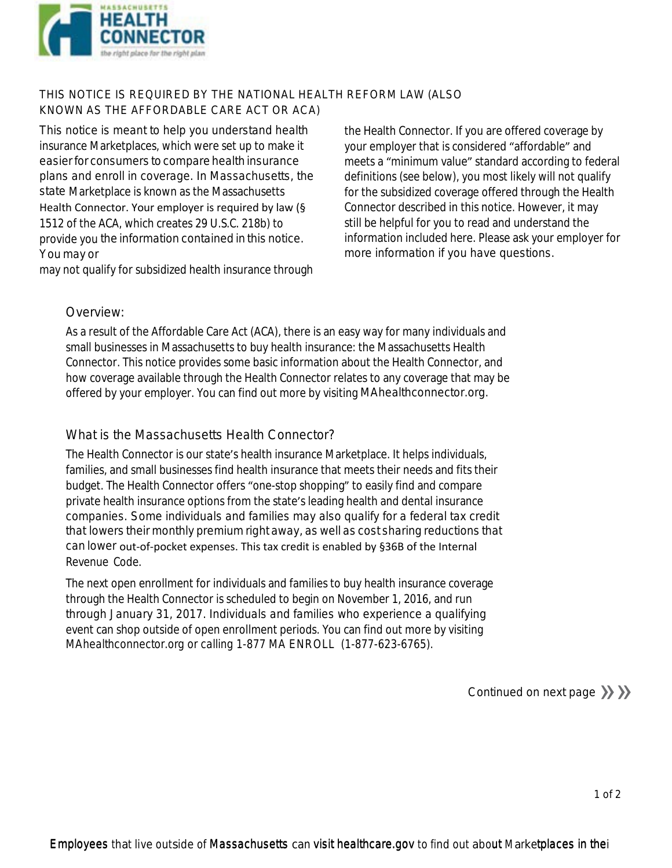

## THIS NOTICE IS REQUIRED BY THE NATIONAL HEALTH REFORM LAW (ALSO KNOWN AS THE AFFORDABLE CARE ACT OR ACA)

This notice is meant to help you understand health insurance Marketplaces, which were set up to make it easier for consumers to compare health insurance plans and enroll in coverage. In Massachusetts, the state Marketplace is known as the Massachusetts Health Connector. Your employer is required by law (§ 1512 of the ACA, which creates 29 U.S.C. 218b) to provide you the information contained in this notice. You may or

may not qualify for subsidized health insurance through

the Health Connector. If you are offered coverage by your employer that is considered "affordable" and meets a "minimum value" standard according to federal definitions (see below), you most likely will not qualify for the subsidized coverage offered through the Health Connector described in this notice. However, it may still be helpful for you to read and understand the information included here. Please ask your employer for more information if you have questions.

## Overview:

As a result of the Affordable Care Act (ACA), there is an easy way for many individuals and small businesses in Massachusetts to buy health insurance: the Massachusetts Health Connector. This notice provides some basic information about the Health Connector, and how coverage available through the Health Connector relates to any coverage that may be offered by your employer. You can find out more by visiting [MAhealthconnector.org](http://MAhealthconnector.org/).

## What is the Massachusetts Health Connector?

The Health Connector is our state's health insurance Marketplace. It helps individuals, families, and small businesses find health insurance that meets their needs and fits their budget. The Health Connector offers "one-stop shopping" to easily find and compare private health insurance options from the state's leading health and dental insurance companies. Some individuals and families may also qualify for a federal tax credit that lowers their monthly premium right away, as well as cost sharing reductions that can lower out-of-pocket expenses. This tax credit is enabled by §36B of the Internal Revenue Code.

The next open enrollment for individuals and families to buy health insurance coverage through the Health Connector is scheduled to begin on November 1, 2016, and run through January 31, 2017. Individuals and families who experience a qualifying event can shop outside of open enrollment periods. You can find out more by visiting [MAhealthconnector.org](http://MAhealthconnector.org/) or calling 1-877 MA ENROLL (1-877-623-6765).

*Continued on next page* »»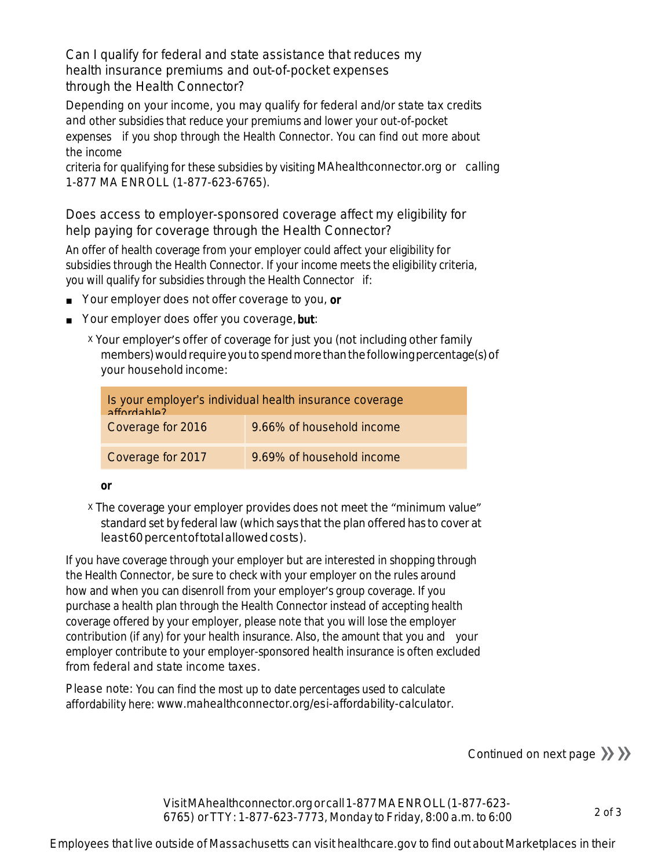Can I qualify for federal and state assistance that reduces my health insurance premiums and out-of-pocket expenses through the Health Connector?

Depending on your income, you may qualify for federal and/or state tax credits and other subsidies that reduce your premiums and lower your out-of-pocket expenses if you shop through the Health Connector. You can find out more about the income

criteria for qualifying for these subsidies by visiting [MAhealthconnector.org](http://MAhealthconnector.org/) or calling 1-877 MA ENROLL (1-877-623-6765).

Does access to employer-sponsored coverage affect my eligibility for help paying for coverage through the Health Connector?

An offer of health coverage from your employer could affect your eligibility for subsidies through the Health Connector. If your income meets the eligibility criteria, you will qualify for subsidies through the Health Connector if:

- Your employer does not offer coverage to you, *or*
- Your employer does offer you coverage, **but**:
	- <sup>X</sup>Your employer's offer of coverage for just you (not including other family members) would require you to spend more than the following percentage(s) of your household income:

| Is your employer's individual health insurance coverage<br>affordable? |                           |
|------------------------------------------------------------------------|---------------------------|
| Coverage for 2016                                                      | 9.66% of household income |
| Coverage for 2017                                                      | 9.69% of household income |

*or*

<sup>X</sup>The coverage your employer provides does not meet the "minimum value" standard set by federal law (which says that the plan offered has to cover at least60percentoftotalallowedcosts).

If you have coverage through your employer but are interested in shopping through the Health Connector, be sure to check with your employer on the rules around how and when you can disenroll from your employer's group coverage. If you purchase a health plan through the Health Connector instead of accepting health coverage offered by your employer, please note that you will lose the employer contribution (if any) for your health insurance. Also, the amount that you and your employer contribute to your employer-sponsored health insurance is often excluded from federal and state income taxes.

Please note: You can find the most up to date percentages used to calculate affordability here: [www.mahealthconnector.org/esi-affordability-calculator.](http://www.mahealthconnector.org/esi-affordability-calculator)

**Continued on next page >>>>>>>>>>>>>>>>>>>>>>>>>>>>>>>** 

VisitMAhealthconnector.orgorcall1-877MAENROLL(1-877-623- 6765) or TTY: 1-877-623-7773, Monday to Friday, 8:00 a.m. to 6:00

2 of 3